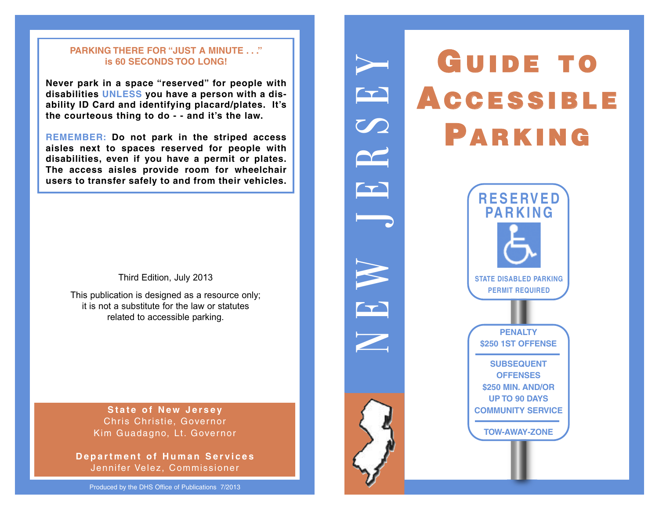### **PARKING THERE FOR "JUST A MINUTE . . ." is 60 SECONDS TOO LONG!**

**Never park in a space "reserved" for people with disabilities UNLESS you have a person with a disability ID Card and identifying placard/plates. It's the courteous thing to do - - and it's the law.**

**REMEMBER: Do not park in the striped access aisles next to spaces reserved for people with disabilities, even if you have a permit or plates. The access aisles provide room for wheelchair users to transfer safely to and from their vehicles.**

Third Edition, July 2013

This publication is designed as a resource only; it is not a substitute for the law or statutes related to accessible parking.

> **State of New Jersey** Chris Christie, Governor Kim Guadagno, Lt. Governor

*Department of Human Services* Jennifer Velez, Commissioner

Produced by the DHS Office of Publications 7/2013



N

E

 $\blacktriangleright$ 

 $\overline{\phantom{a}}$ 

E

 $\blacktriangledown$ 

 $\boldsymbol{\mathcal{S}}$ 

E

 $\blacktriangleright$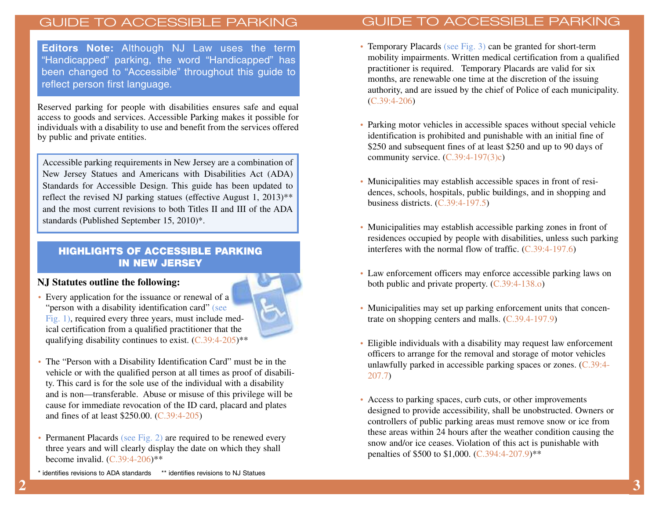**Editors Note:** Although NJ Law uses the term "Handicapped" parking, the word "Handicapped" has been changed to "Accessible" throughout this guide to reflect person first language.

Reserved parking for people with disabilities ensures safe and equal access to goods and services. Accessible Parking makes it possible for individuals with a disability to use and benefit from the services offered by public and private entities.

Accessible parking requirements in New Jersey are a combination of New Jersey Statues and Americans with Disabilities Act (ADA) Standards for Accessible Design. This guide has been updated to reflect the revised NJ parking statues (effective August 1, 2013)\*\* and the most current revisions to both Titles II and III of the ADA standards (Published September 15, 2010)\*.

## **HIGHLIGHTS OF ACCESSIBLE PARKING IN NEW JERSEY**

### **NJ Statutes outline the following:**

• Every application for the issuance or renewal of a "person with a disability identification card" (see Fig. 1), required every three years, must include medical certification from a qualified practitioner that the qualifying disability continues to exist.  $(C.39:4-205)$ <sup>\*\*</sup>



- The "Person with a Disability Identification Card" must be in the vehicle or with the qualified person at all times as proof of disability. This card is for the sole use of the individual with a disability and is non—transferable. Abuse or misuse of this privilege will be cause for immediate revocation of the ID card, placard and plates and fines of at least \$250.00. (C.39:4-205)
- Permanent Placards (see Fig. 2) are required to be renewed every three years and will clearly display the date on which they shall become invalid.  $(C.39:4-206)$ \*\*
- Temporary Placards (see Fig. 3) can be granted for short-term mobility impairments. Written medical certification from a qualified practitioner is required. Temporary Placards are valid for six months, are renewable one time at the discretion of the issuing authority, and are issued by the chief of Police of each municipality. (C.39:4-206)
- Parking motor vehicles in accessible spaces without special vehicle identification is prohibited and punishable with an initial fine of \$250 and subsequent fines of at least \$250 and up to 90 days of community service.  $(C.39:4-197(3)c)$
- Municipalities may establish accessible spaces in front of residences, schools, hospitals, public buildings, and in shopping and business districts. (C.39:4-197.5)
- Municipalities may establish accessible parking zones in front of residences occupied by people with disabilities, unless such parking interferes with the normal flow of traffic. (C.39:4-197.6)
- Law enforcement officers may enforce accessible parking laws on both public and private property. (C.39:4-138.o)
- Municipalities may set up parking enforcement units that concentrate on shopping centers and malls. (C.39.4-197.9)
- Eligible individuals with a disability may request law enforcement officers to arrange for the removal and storage of motor vehicles unlawfully parked in accessible parking spaces or zones. (C.39:4- 207.7)
- Access to parking spaces, curb cuts, or other improvements designed to provide accessibility, shall be unobstructed. Owners or controllers of public parking areas must remove snow or ice from these areas within 24 hours after the weather condition causing the snow and/or ice ceases. Violation of this act is punishable with penalties of \$500 to \$1,000. (C.394:4-207.9)\*\*

identifies revisions to ADA standards \*\* identifies revisions to NJ Statues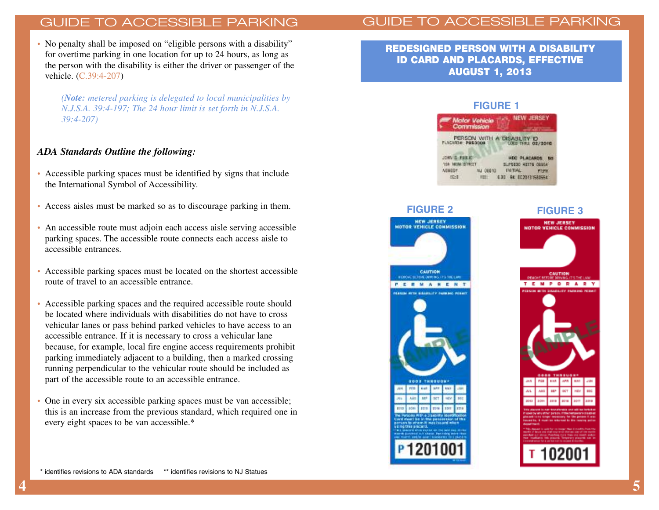• No penalty shall be imposed on "eligible persons with a disability" for overtime parking in one location for up to 24 hours, as long as the person with the disability is either the driver or passenger of the vehicle. (C.39:4-207)

*(Note: metered parking is delegated to local municipalities by N.J.S.A. 39:4-197; The 24 hour limit is set forth in N.J.S.A. 39:4-207)*

### *ADA Standards Outline the following:*

- Accessible parking spaces must be identified by signs that include the International Symbol of Accessibility.
- Access aisles must be marked so as to discourage parking in them.
- An accessible route must adjoin each access aisle serving accessible parking spaces. The accessible route connects each access aisle to accessible entrances.
- Accessible parking spaces must be located on the shortest accessible route of travel to an accessible entrance.
- Accessible parking spaces and the required accessible route should be located where individuals with disabilities do not have to cross vehicular lanes or pass behind parked vehicles to have access to an accessible entrance. If it is necessary to cross a vehicular lane because, for example, local fire engine access requirements prohibit parking immediately adjacent to a building, then a marked crossing running perpendicular to the vehicular route should be included as part of the accessible route to an accessible entrance.
- One in every six accessible parking spaces must be van accessible; this is an increase from the previous standard, which required one in every eight spaces to be van accessible.\*

**REDESIGNED PERSON WITH A DISABILITY ID CARD AND PLACARDS, EFFECTIVE AUGUST 1, 2013**

#### **FIGURE 1**





### **FIGURE 3**

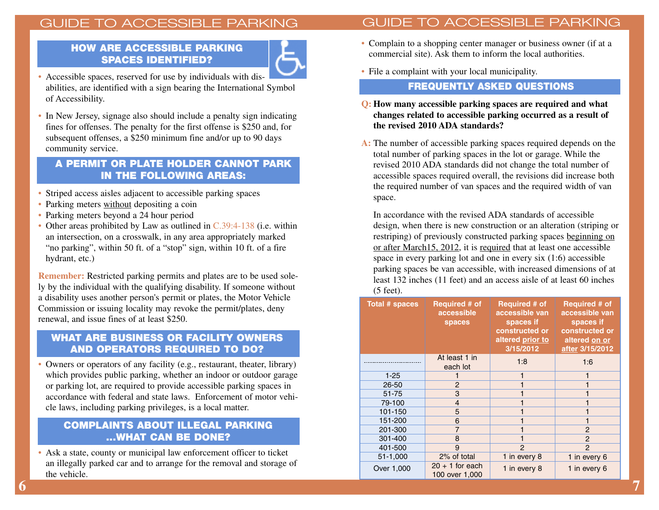## **HOW ARE ACCESSIBLE PARKING SPACES IDENTIFIED?**



- Accessible spaces, reserved for use by individuals with disabilities, are identified with a sign bearing the International Symbol of Accessibility.
- In New Jersey, signage also should include a penalty sign indicating fines for offenses. The penalty for the first offense is \$250 and, for subsequent offenses, a \$250 minimum fine and/or up to 90 days community service.

## **A PERMIT OR PLATE HOLDER CANNOT PARK IN THE FOLLOWING AREAS:**

- Striped access aisles adjacent to accessible parking spaces
- Parking meters without depositing a coin
- Parking meters beyond a 24 hour period
- Other areas prohibited by Law as outlined in C.39:4-138 (i.e. within an intersection, on a crosswalk, in any area appropriately marked "no parking", within 50 ft. of a "stop" sign, within 10 ft. of a fire hydrant, etc.)

**Remember:** Restricted parking permits and plates are to be used solely by the individual with the qualifying disability. If someone without a disability uses another person's permit or plates, the Motor Vehicle Commission or issuing locality may revoke the permit/plates, deny renewal, and issue fines of at least \$250.

## **WHAT ARE BUSINESS OR FACILITY OWNERS AND OPERATORS REQUIRED TO DO?**

• Owners or operators of any facility (e.g., restaurant, theater, library) which provides public parking, whether an indoor or outdoor garage or parking lot, are required to provide accessible parking spaces in accordance with federal and state laws. Enforcement of motor vehicle laws, including parking privileges, is a local matter.

## **COMPLAINTS ABOUT ILLEGAL PARKING ...WHAT CAN BE DONE?**

• Ask a state, county or municipal law enforcement officer to ticket an illegally parked car and to arrange for the removal and storage of the vehicle.

- Complain to a shopping center manager or business owner (if at a commercial site). Ask them to inform the local authorities.
- File a complaint with your local municipality.

## **FREQUENTLY ASKED QUESTIONS**

### **Q: How many accessible parking spaces are required and what changes related to accessible parking occurred as a result of the revised 2010 ADA standards?**

**A:** The number of accessible parking spaces required depends on the total number of parking spaces in the lot or garage. While the revised 2010 ADA standards did not change the total number of accessible spaces required overall, the revisions did increase both the required number of van spaces and the required width of van space.

In accordance with the revised ADA standards of accessible design, when there is new construction or an alteration (striping or restriping) of previously constructed parking spaces beginning on or after March15, 2012, it is required that at least one accessible space in every parking lot and one in every six (1:6) accessible parking spaces be van accessible, with increased dimensions of at least 132 inches (11 feet) and an access aisle of at least 60 inches (5 feet).

| <b>Total # spaces</b> | <b>Required # of</b><br>accessible<br>spaces | <b>Required # of</b><br>accessible van<br>spaces if<br>constructed or<br>altered prior to<br>3/15/2012 | <b>Required # of</b><br>accessible van<br>spaces if<br>constructed or<br>altered on or<br>after 3/15/2012 |
|-----------------------|----------------------------------------------|--------------------------------------------------------------------------------------------------------|-----------------------------------------------------------------------------------------------------------|
|                       | At least 1 in<br>each lot                    | 1:8                                                                                                    | 1:6                                                                                                       |
| $1 - 25$              |                                              | 1                                                                                                      | 1                                                                                                         |
| 26-50                 | $\overline{c}$                               |                                                                                                        |                                                                                                           |
| $51 - 75$             | 3                                            |                                                                                                        |                                                                                                           |
| 79-100                | $\overline{4}$                               |                                                                                                        |                                                                                                           |
| 101-150               | 5                                            |                                                                                                        |                                                                                                           |
| 151-200               | 6                                            |                                                                                                        | 1                                                                                                         |
| 201-300               | $\overline{7}$                               |                                                                                                        | $\overline{2}$                                                                                            |
| 301-400               | 8                                            |                                                                                                        | 2                                                                                                         |
| 401-500               | 9                                            | $\mathcal{P}$                                                                                          | $\overline{2}$                                                                                            |
| 51-1,000              | 2% of total                                  | 1 in every 8                                                                                           | 1 in every 6                                                                                              |
| Over 1,000            | $20 + 1$ for each<br>100 over 1,000          | 1 in every 8                                                                                           | 1 in every 6                                                                                              |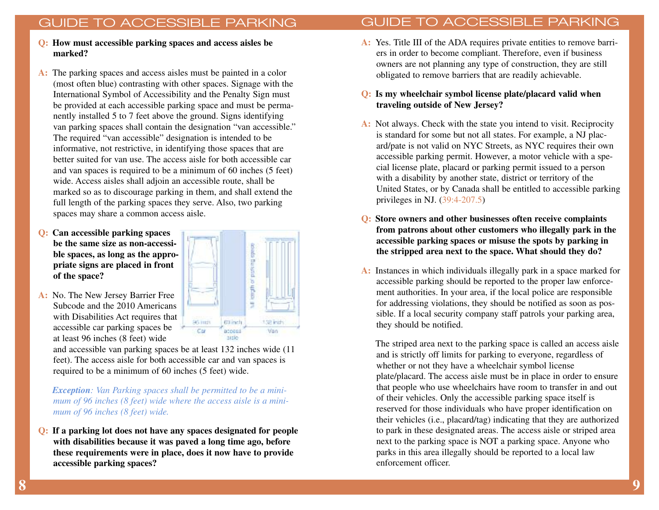- **Q: How must accessible parking spaces and access aisles be marked?**
- **A:** The parking spaces and access aisles must be painted in a color (most often blue) contrasting with other spaces. Signage with the International Symbol of Accessibility and the Penalty Sign must be provided at each accessible parking space and must be permanently installed 5 to 7 feet above the ground. Signs identifying van parking spaces shall contain the designation "van accessible." The required "van accessible" designation is intended to be informative, not restrictive, in identifying those spaces that are better suited for van use. The access aisle for both accessible car and van spaces is required to be a minimum of 60 inches (5 feet) wide. Access aisles shall adjoin an accessible route, shall be marked so as to discourage parking in them, and shall extend the full length of the parking spaces they serve. Also, two parking spaces may share a common access aisle.
- **Q: Can accessible parking spaces be the same size as non-accessible spaces, as long as the appropriate signs are placed in front of the space?**

**A:** No. The New Jersey Barrier Free Subcode and the 2010 Americans with Disabilities Act requires that accessible car parking spaces be at least 96 inches (8 feet) wide



and accessible van parking spaces be at least 132 inches wide (11 feet). The access aisle for both accessible car and van spaces is required to be a minimum of 60 inches (5 feet) wide.

*Exception: Van Parking spaces shall be permitted to be a minimum of 96 inches (8 feet) wide where the access aisle is a minimum of 96 inches (8 feet) wide.*

**Q: If a parking lot does not have any spaces designated for people with disabilities because it was paved a long time ago, before these requirements were in place, does it now have to provide accessible parking spaces?**

**A:** Yes. Title III of the ADA requires private entities to remove barriers in order to become compliant. Therefore, even if business owners are not planning any type of construction, they are still obligated to remove barriers that are readily achievable.

## **Q: Is my wheelchair symbol license plate/placard valid when traveling outside of New Jersey?**

- **A:** Not always. Check with the state you intend to visit. Reciprocity is standard for some but not all states. For example, a NJ placard/pate is not valid on NYC Streets, as NYC requires their own accessible parking permit. However, a motor vehicle with a special license plate, placard or parking permit issued to a person with a disability by another state, district or territory of the United States, or by Canada shall be entitled to accessible parking privileges in NJ. (39:4-207.5)
- **Q: Store owners and other businesses often receive complaints from patrons about other customers who illegally park in the accessible parking spaces or misuse the spots by parking in the stripped area next to the space. What should they do?**
- **A:** Instances in which individuals illegally park in a space marked for accessible parking should be reported to the proper law enforcement authorities. In your area, if the local police are responsible for addressing violations, they should be notified as soon as possible. If a local security company staff patrols your parking area, they should be notified.

The striped area next to the parking space is called an access aisle and is strictly off limits for parking to everyone, regardless of whether or not they have a wheelchair symbol license plate/placard. The access aisle must be in place in order to ensure that people who use wheelchairs have room to transfer in and out of their vehicles. Only the accessible parking space itself is reserved for those individuals who have proper identification on their vehicles (i.e., placard/tag) indicating that they are authorized to park in these designated areas. The access aisle or striped area next to the parking space is NOT a parking space. Anyone who parks in this area illegally should be reported to a local law enforcement officer.